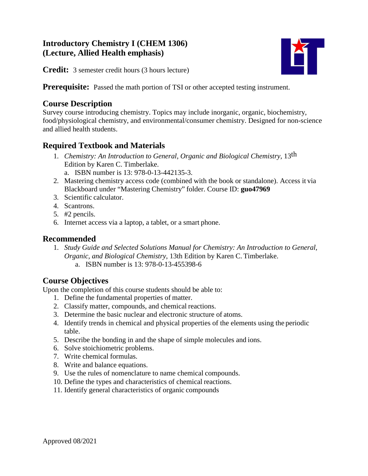# **Introductory Chemistry I (CHEM 1306) (Lecture, Allied Health emphasis)**



**Credit:** 3 semester credit hours (3 hours lecture)

**Prerequisite:** Passed the math portion of TSI or other accepted testing instrument.

## **Course Description**

Survey course introducing chemistry. Topics may include inorganic, organic, biochemistry, food/physiological chemistry, and environmental/consumer chemistry. Designed for non-science and allied health students.

# **Required Textbook and Materials**

- 1. *Chemistry: An Introduction to General, Organic and Biological Chemistry,* 13th Edition by Karen C. Timberlake.
	- a. ISBN number is 13: 978-0-13-442135-3.
- 2. Mastering chemistry access code (combined with the book or standalone). Access it via Blackboard under "Mastering Chemistry" folder. Course ID: **guo47969**
- 3. Scientific calculator.
- 4. Scantrons.
- 5. #2 pencils.
- 6. Internet access via a laptop, a tablet, or a smart phone.

### **Recommended**

- 1. *Study Guide and Selected Solutions Manual for Chemistry: An Introduction to General, Organic, and Biological Chemistry*, 13th Edition by Karen C. Timberlake.
	- a. ISBN number is 13: 978-0-13-455398-6

## **Course Objectives**

Upon the completion of this course students should be able to:

- 1. Define the fundamental properties of matter.
- 2. Classify matter, compounds, and chemical reactions.
- 3. Determine the basic nuclear and electronic structure of atoms.
- 4. Identify trends in chemical and physical properties of the elements using the periodic table.
- 5. Describe the bonding in and the shape of simple molecules and ions.
- 6. Solve stoichiometric problems.
- 7. Write chemical formulas.
- 8. Write and balance equations.
- 9. Use the rules of nomenclature to name chemical compounds.
- 10. Define the types and characteristics of chemical reactions.
- 11. Identify general characteristics of organic compounds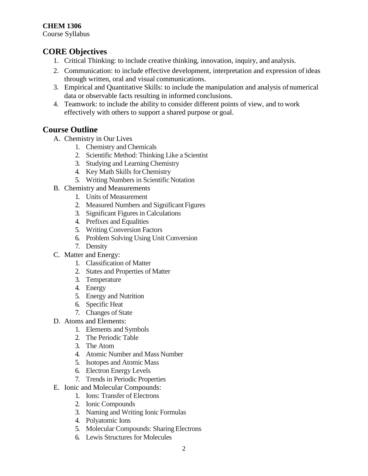## **CORE Objectives**

- 1. Critical Thinking: to include creative thinking, innovation, inquiry, and analysis.
- 2. Communication: to include effective development, interpretation and expression of ideas through written, oral and visual communications.
- 3. Empirical and Quantitative Skills: to include the manipulation and analysis of numerical data or observable facts resulting in informed conclusions.
- 4. Teamwork: to include the ability to consider different points of view, and to work effectively with others to support a shared purpose or goal.

## **Course Outline**

- A. Chemistry in Our Lives
	- 1. Chemistry and Chemicals
	- 2. Scientific Method: Thinking Like a Scientist
	- 3. Studying and Learning Chemistry
	- 4. Key Math Skills forChemistry
	- 5. Writing Numbers in Scientific Notation
- B. Chemistry and Measurements
	- 1. Units of Measurement
	- 2. Measured Numbers and Significant Figures
	- 3. Significant Figures in Calculations
	- 4. Prefixes and Equalities
	- 5. Writing Conversion Factors
	- 6. Problem Solving Using Unit Conversion
	- 7. Density
- C. Matter and Energy:
	- 1. Classification of Matter
	- 2. States and Properties of Matter
	- 3. Temperature
	- 4. Energy
	- 5. Energy and Nutrition
	- 6. Specific Heat
	- 7. Changes of State
- D. Atoms and Elements:
	- 1. Elements and Symbols
	- 2. The Periodic Table
	- 3. The Atom
	- 4. Atomic Number and Mass Number
	- 5. Isotopes and Atomic Mass
	- 6. Electron Energy Levels
	- 7. Trends in Periodic Properties
- E. Ionic and Molecular Compounds:
	- 1. Ions: Transfer of Electrons
	- 2. Ionic Compounds
	- 3. Naming and Writing Ionic Formulas
	- 4. Polyatomic Ions
	- 5. Molecular Compounds: Sharing Electrons
	- 6. Lewis Structures for Molecules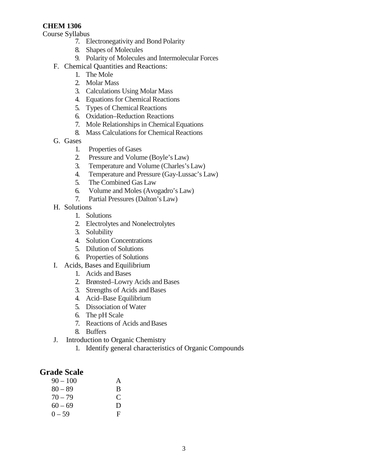#### **CHEM 1306**

Course Syllabus

- 7. Electronegativity and Bond Polarity
- 8. Shapes of Molecules
- 9. Polarity of Molecules and Intermolecular Forces
- F. Chemical Quantities and Reactions:
	- 1. The Mole
	- 2. Molar Mass
	- 3. Calculations Using Molar Mass
	- 4. Equations for Chemical Reactions
	- 5. Types of Chemical Reactions
	- 6. Oxidation–Reduction Reactions
	- 7. Mole Relationships in Chemical Equations
	- 8. Mass Calculations for Chemical Reactions
- G. Gases
	- 1. Properties of Gases
	- 2. Pressure and Volume (Boyle's Law)
	- 3. Temperature and Volume (Charles's Law)
	- 4. Temperature and Pressure (Gay-Lussac's Law)
	- 5. The Combined Gas Law
	- 6. Volume and Moles (Avogadro's Law)<br>7. Partial Pressures (Dalton's Law)
		- Partial Pressures (Dalton's Law)
- H. Solutions
	- 1. Solutions
	- 2. Electrolytes and Nonelectrolytes
	- 3. Solubility
	- 4. Solution Concentrations
	- 5. Dilution of Solutions
	- 6. Properties of Solutions
- I. Acids, Bases and Equilibrium
	- 1. Acids and Bases
	- 2. Brønsted–Lowry Acids and Bases
	- 3. Strengths of Acids and Bases
	- 4. Acid–Base Equilibrium
	- 5. Dissociation of Water
	- 6. The pH Scale
	- 7. Reactions of Acids and Bases
	- 8. Buffers
- J. Introduction to Organic Chemistry
	- 1. Identify general characteristics of Organic Compounds

#### **Grade Scale**

| $90 - 100$ | A |
|------------|---|
| $80 - 89$  | B |
| $70 - 79$  | € |
| $60 - 69$  | D |
| $0 - 59$   | Е |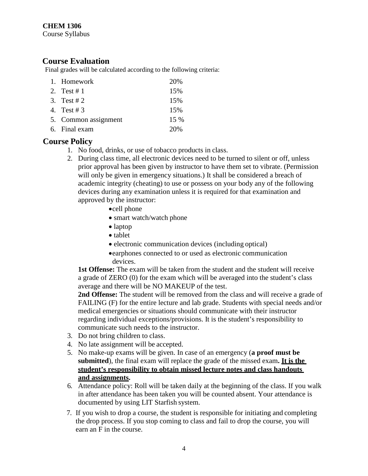#### **CHEM 1306**

Course Syllabus

### **Course Evaluation**

Final grades will be calculated according to the following criteria:

| 1. Homework          | 20%    |
|----------------------|--------|
| 2. Test # 1          | 15%    |
| 3. Test # 2          | 15%    |
| 4. Test # 3          | 15%    |
| 5. Common assignment | $15\%$ |
| 6. Final exam        | 20%    |

## **Course Policy**

- 1. No food, drinks, or use of tobacco products in class.
- 2. During class time, all electronic devices need to be turned to silent or off, unless prior approval has been given by instructor to have them set to vibrate. (Permission will only be given in emergency situations.) It shall be considered a breach of academic integrity (cheating) to use or possess on your body any of the following devices during any examination unless it is required for that examination and approved by the instructor:
	- •cell phone
	- smart watch/watch phone
	- laptop
	- tablet
	- electronic communication devices (including optical)
	- •earphones connected to or used as electronic communication devices.

**1st Offense:** The exam will be taken from the student and the student will receive a grade of ZERO (0) for the exam which will be averaged into the student's class average and there will be NO MAKEUP of the test.

**2nd Offense:** The student will be removed from the class and will receive a grade of FAILING (F) for the entire lecture and lab grade. Students with special needs and/or medical emergencies or situations should communicate with their instructor regarding individual exceptions/provisions. It is the student's responsibility to communicate such needs to the instructor.

- 3. Do not bring children to class.
- 4. No late assignment will be accepted.
- 5.No make-up exams will be given. In case of an emergency (**a proof must be submitted**), the final exam will replace the grade of the missed exam**. It is the student's responsibility to obtain missed lecture notes and class handouts and assignments.**
- 6. Attendance policy: Roll will be taken daily at the beginning of the class. If you walk in after attendance has been taken you will be counted absent. Your attendance is documented by using LIT Starfish system.
- 7. If you wish to drop a course, the student is responsible for initiating and completing the drop process. If you stop coming to class and fail to drop the course, you will earn an F in the course.